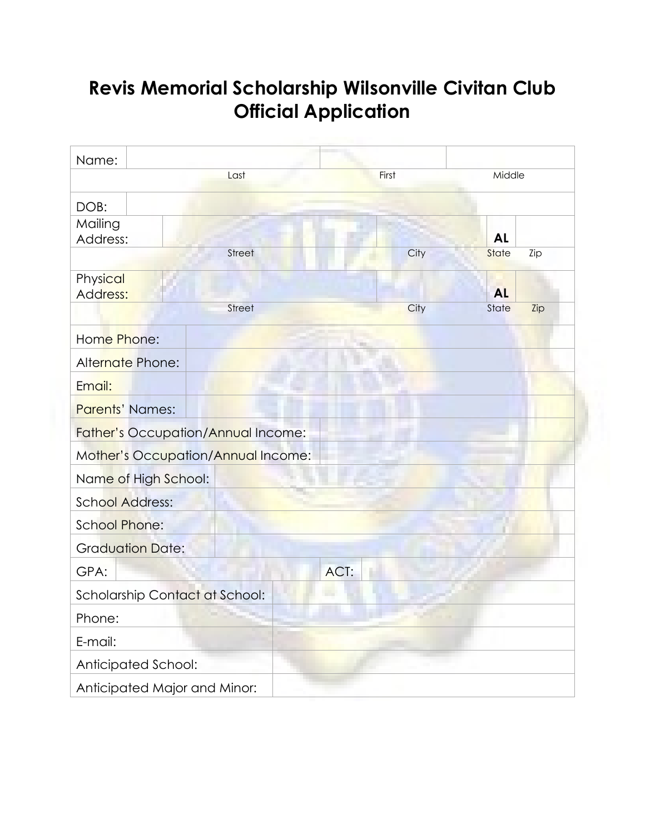# **Revis Memorial Scholarship Wilsonville Civitan Club Official Application**

| Name:                              |  |  |               |       |      |                    |     |
|------------------------------------|--|--|---------------|-------|------|--------------------|-----|
| Last                               |  |  |               | First |      | Middle             |     |
| DOB:                               |  |  |               |       |      |                    |     |
| Mailing                            |  |  |               |       |      |                    |     |
| Address:                           |  |  | Street        |       | City | <b>AL</b><br>State | Zip |
|                                    |  |  |               |       |      |                    |     |
| Physical<br>Address:               |  |  |               |       |      | <b>AL</b>          |     |
|                                    |  |  | <b>Street</b> |       | City | State              | Zip |
| Home Phone:                        |  |  |               |       |      |                    |     |
| Alternate Phone:                   |  |  |               |       |      |                    |     |
| Email:                             |  |  |               |       |      |                    |     |
| Parents' Names:                    |  |  |               |       |      |                    |     |
| Father's Occupation/Annual Income: |  |  |               |       |      |                    |     |
| Mother's Occupation/Annual Income: |  |  |               |       |      |                    |     |
| Name of High School:               |  |  |               |       |      |                    |     |
| <b>School Address:</b>             |  |  |               |       |      |                    |     |
| <b>School Phone:</b>               |  |  |               |       |      |                    |     |
| <b>Graduation Date:</b>            |  |  |               |       |      |                    |     |
| GPA:                               |  |  |               | ACT:  |      |                    |     |
| Scholarship Contact at School:     |  |  |               |       |      |                    |     |
| Phone:                             |  |  |               |       |      |                    |     |
| E-mail:                            |  |  |               |       |      |                    |     |
| Anticipated School:                |  |  |               |       |      |                    |     |
| Anticipated Major and Minor:       |  |  |               |       |      |                    |     |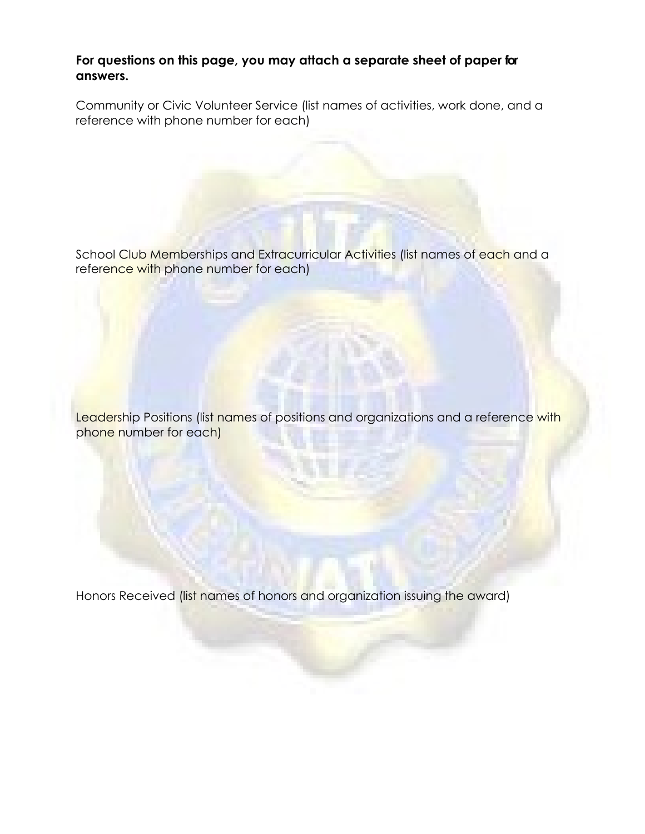**For questions on this page, you may attach a separate sheet of paper for answers.** 

Community or Civic Volunteer Service (list names of activities, work done, and a reference with phone number for each)

School Club Memberships and Extracurricular Activities (list names of each and a reference with phone number for each)

Leadership Positions (list names of positions and organizations and a reference with phone number for each)

Honors Received (list names of honors and organization issuing the award)